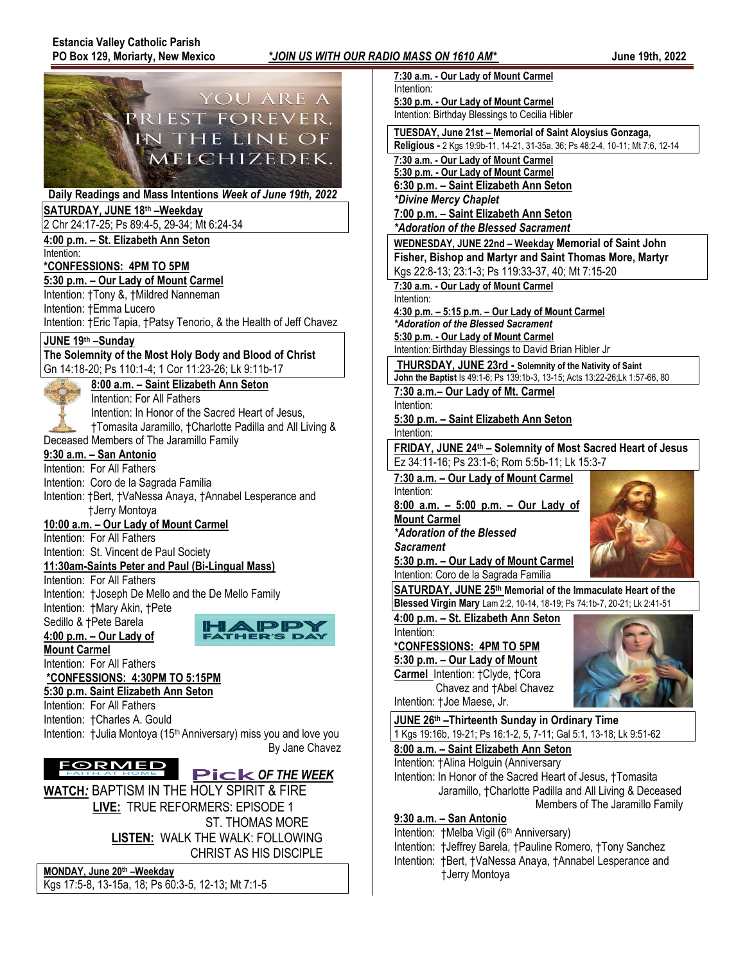



CHRIST AS HIS DISCIPLE

**MONDAY, June 20th –Weekday** Kgs 17:5-8, 13-15a, 18; Ps 60:3-5, 12-13; Mt 7:1-5

| U MASS ON 1610 AM^                                                                             | <b>June 19th, 2022</b> |
|------------------------------------------------------------------------------------------------|------------------------|
| 7:30 a.m. - Our Lady of Mount Carmel                                                           |                        |
| Intention:                                                                                     |                        |
| 5:30 p.m. - Our Lady of Mount Carmel                                                           |                        |
| Intention: Birthday Blessings to Cecilia Hibler                                                |                        |
| TUESDAY, June 21st - Memorial of Saint Aloysius Gonzaga,                                       |                        |
| Religious - 2 Kgs 19:9b-11, 14-21, 31-35a, 36; Ps 48:2-4, 10-11; Mt 7:6, 12-14                 |                        |
| 7:30 a.m. - Our Lady of Mount Carmel                                                           |                        |
| 5:30 p.m. - Our Lady of Mount Carmel                                                           |                        |
| 6:30 p.m. - Saint Elizabeth Ann Seton                                                          |                        |
| *Divine Mercy Chaplet                                                                          |                        |
| 7:00 p.m. - Saint Elizabeth Ann Seton                                                          |                        |
| *Adoration of the Blessed Sacrament                                                            |                        |
| WEDNESDAY, JUNE 22nd - Weekday Memorial of Saint John                                          |                        |
| Fisher, Bishop and Martyr and Saint Thomas More, Martyr                                        |                        |
| Kgs 22:8-13; 23:1-3; Ps 119:33-37, 40; Mt 7:15-20                                              |                        |
| 7:30 a.m. - Our Lady of Mount Carmel                                                           |                        |
| Intention:                                                                                     |                        |
| 4:30 p.m. - 5:15 p.m. - Our Lady of Mount Carmel                                               |                        |
| *Adoration of the Blessed Sacrament                                                            |                        |
| 5:30 p.m. - Our Lady of Mount Carmel<br>Intention: Birthday Blessings to David Brian Hibler Jr |                        |
|                                                                                                |                        |
| THURSDAY, JUNE 23rd - Solemnity of the Nativity of Saint                                       |                        |
| John the Baptist Is 49:1-6; Ps 139:1b-3, 13-15; Acts 13:22-26;Lk 1:57-66, 80                   |                        |
| 7:30 a.m.- Our Lady of Mt. Carmel<br>Intention:                                                |                        |
| 5:30 p.m. - Saint Elizabeth Ann Seton                                                          |                        |
| Intention:                                                                                     |                        |
| FRIDAY, JUNE 24th - Solemnity of Most Sacred Heart of Jesus                                    |                        |
| Ez 34:11-16; Ps 23:1-6; Rom 5:5b-11; Lk 15:3-7                                                 |                        |
| 7:30 a.m. - Our Lady of Mount Carmel                                                           |                        |
| Intention:                                                                                     |                        |
| <u>8:00 a.m. – 5:00 p.m. – Our Lady of</u>                                                     |                        |
| <b>Mount Carmel</b>                                                                            |                        |
| *Adoration of the Blessed                                                                      |                        |
| <b>Sacrament</b>                                                                               |                        |
| 5:30 p.m. - Our Lady of Mount Carmel                                                           |                        |
| Intention: Coro de la Sagrada Familia                                                          |                        |
| SATURDAY, JUNE 25th Memorial of the Immaculate Heart of the                                    |                        |
| <b>Blessed Virgin Mary</b> Lam 2:2, 10-14, 18-19; Ps 74:1b-7, 20-21; Lk 2:41-51                |                        |
| 4:00 p.m. - St. Elizabeth Ann Seton                                                            |                        |
| Intention:                                                                                     |                        |
| *CONFESSIONS: 4PM TO 5PM                                                                       |                        |
| 5:30 p.m. - Our Lady of Mount                                                                  |                        |
| Carmel_Intention: †Clyde, †Cora                                                                |                        |
| Chavez and †Abel Chavez                                                                        |                        |
| Intention: †Joe Maese, Jr.                                                                     |                        |
| JUNE 26th - Thirteenth Sunday in Ordinary Time                                                 |                        |
| 1 Kgs 19:16b, 19-21; Ps 16:1-2, 5, 7-11; Gal 5:1, 13-18; Lk 9:51-62                            |                        |
| 8:00 a.m. - Saint Elizabeth Ann Seton                                                          |                        |
| Intention: †Alina Holguin (Anniversary                                                         |                        |
| Intention: In Honor of the Sacred Heart of Jesus, †Tomasita                                    |                        |
|                                                                                                |                        |

 Jaramillo, †Charlotte Padilla and All Living & Deceased Members of The Jaramillo Family

## **9:30 a.m. – San Antonio**

Intention: †Melba Vigil (6<sup>th</sup> Anniversary) Intention: †Jeffrey Barela, †Pauline Romero, †Tony Sanchez Intention: †Bert, †VaNessa Anaya, †Annabel Lesperance and †Jerry Montoya